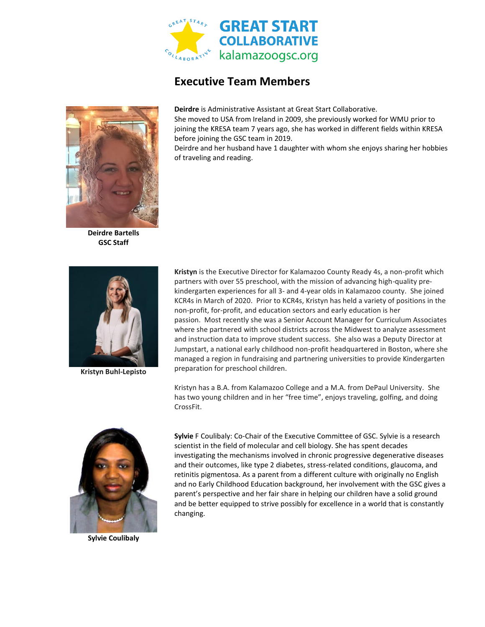



**Deirdre Bartells GSC Staff**



**Kristyn Buhl-Lepisto**

**Deirdre** is Administrative Assistant at Great Start Collaborative. She moved to USA from Ireland in 2009, she previously worked for WMU prior to joining the KRESA team 7 years ago, she has worked in different fields within KRESA before joining the GSC team in 2019.

Deirdre and her husband have 1 daughter with whom she enjoys sharing her hobbies of traveling and reading.

**Kristyn** is the Executive Director for Kalamazoo County Ready 4s, a non-profit which partners with over 55 preschool, with the mission of advancing high-quality prekindergarten experiences for all 3- and 4-year olds in Kalamazoo county. She joined KCR4s in March of 2020. Prior to KCR4s, Kristyn has held a variety of positions in the non-profit, for-profit, and education sectors and early education is her passion. Most recently she was a Senior Account Manager for Curriculum Associates where she partnered with school districts across the Midwest to analyze assessment and instruction data to improve student success. She also was a Deputy Director at Jumpstart, a national early childhood non-profit headquartered in Boston, where she managed a region in fundraising and partnering universities to provide Kindergarten preparation for preschool children.

Kristyn has a B.A. from Kalamazoo College and a M.A. from DePaul University. She has two young children and in her "free time", enjoys traveling, golfing, and doing CrossFit.



**Sylvie Coulibaly**

**Sylvie** F Coulibaly: Co-Chair of the Executive Committee of GSC. Sylvie is a research scientist in the field of molecular and cell biology. She has spent decades investigating the mechanisms involved in chronic progressive degenerative diseases and their outcomes, like type 2 diabetes, stress-related conditions, glaucoma, and retinitis pigmentosa. As a parent from a different culture with originally no English and no Early Childhood Education background, her involvement with the GSC gives a parent's perspective and her fair share in helping our children have a solid ground and be better equipped to strive possibly for excellence in a world that is constantly changing.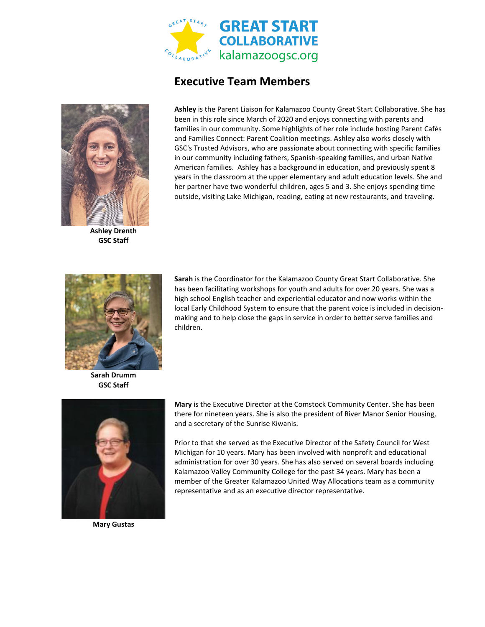



**Ashley Drenth GSC Staff**

**Ashley** is the Parent Liaison for Kalamazoo County Great Start Collaborative. She has been in this role since March of 2020 and enjoys connecting with parents and families in our community. Some highlights of her role include hosting Parent Cafés and Families Connect: Parent Coalition meetings. Ashley also works closely with GSC's Trusted Advisors, who are passionate about connecting with specific families in our community including fathers, Spanish-speaking families, and urban Native American families. Ashley has a background in education, and previously spent 8 years in the classroom at the upper elementary and adult education levels. She and her partner have two wonderful children, ages 5 and 3. She enjoys spending time outside, visiting Lake Michigan, reading, eating at new restaurants, and traveling.



**Sarah** is the Coordinator for the Kalamazoo County Great Start Collaborative. She has been facilitating workshops for youth and adults for over 20 years. She was a high school English teacher and experiential educator and now works within the local Early Childhood System to ensure that the parent voice is included in decisionmaking and to help close the gaps in service in order to better serve families and children.

**Sarah Drumm GSC Staff**



**Mary Gustas**

**Mary** is the Executive Director at the Comstock Community Center. She has been there for nineteen years. She is also the president of River Manor Senior Housing, and a secretary of the Sunrise Kiwanis.

Prior to that she served as the Executive Director of the Safety Council for West Michigan for 10 years. Mary has been involved with nonprofit and educational administration for over 30 years. She has also served on several boards including Kalamazoo Valley Community College for the past 34 years. Mary has been a member of the Greater Kalamazoo United Way Allocations team as a community representative and as an executive director representative.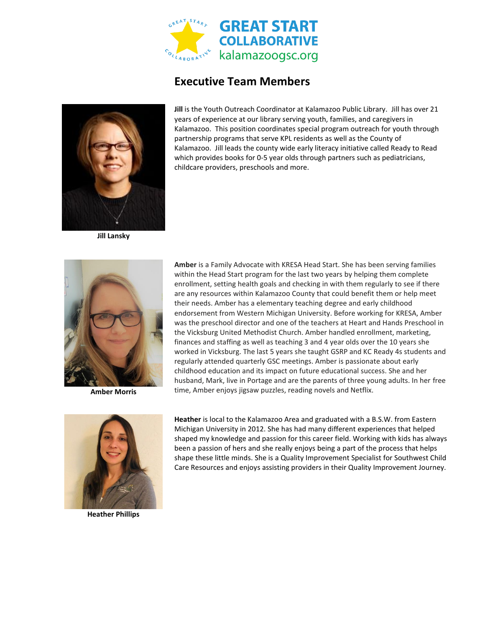



**Jill Lansky**



**Amber Morris**



**Heather Phillips**

**Jill** is the Youth Outreach Coordinator at Kalamazoo Public Library. Jill has over 21 years of experience at our library serving youth, families, and caregivers in Kalamazoo. This position coordinates special program outreach for youth through partnership programs that serve KPL residents as well as the County of Kalamazoo. Jill leads the county wide early literacy initiative called Ready to Read which provides books for 0-5 year olds through partners such as pediatricians, childcare providers, preschools and more.

**Amber** is a Family Advocate with KRESA Head Start. She has been serving families within the Head Start program for the last two years by helping them complete enrollment, setting health goals and checking in with them regularly to see if there are any resources within Kalamazoo County that could benefit them or help meet their needs. Amber has a elementary teaching degree and early childhood endorsement from Western Michigan University. Before working for KRESA, Amber was the preschool director and one of the teachers at Heart and Hands Preschool in the Vicksburg United Methodist Church. Amber handled enrollment, marketing, finances and staffing as well as teaching 3 and 4 year olds over the 10 years she worked in Vicksburg. The last 5 years she taught GSRP and KC Ready 4s students and regularly attended quarterly GSC meetings. Amber is passionate about early childhood education and its impact on future educational success. She and her husband, Mark, live in Portage and are the parents of three young adults. In her free time, Amber enjoys jigsaw puzzles, reading novels and Netflix.

**Heather** is local to the Kalamazoo Area and graduated with a B.S.W. from Eastern Michigan University in 2012. She has had many different experiences that helped shaped my knowledge and passion for this career field. Working with kids has always been a passion of hers and she really enjoys being a part of the process that helps shape these little minds. She is a Quality Improvement Specialist for Southwest Child Care Resources and enjoys assisting providers in their Quality Improvement Journey.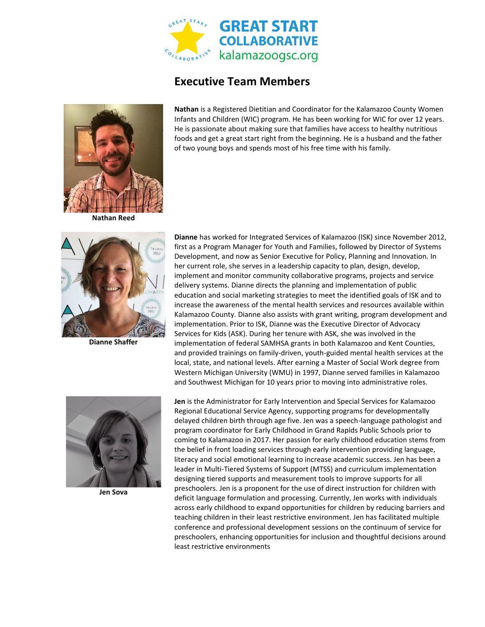



**Nathan** is a Registered Dietitian and Coordinator for the Kalamazoo County Women Infants and Children (WIC) program. He has been working for WIC for over 12 years. He is passionate about making sure that families have access to healthy nutritious foods and get a great start right from the beginning. He is a husband and the father of two young boys and spends most of his free time with his family.



**Dianne Shaffer**

**Dianne** has worked for Integrated Services of Kalamazoo (ISK) since November 2012, first as a Program Manager for Youth and Families, followed by Director of Systems Development, and now as Senior Executive for Policy, Planning and Innovation. In her current role, she serves in a leadership capacity to plan, design, develop, implement and monitor community collaborative programs, projects and service delivery systems. Dianne directs the planning and implementation of public education and social marketing strategies to meet the identified goals of ISK and to increase the awareness of the mental health services and resources available within Kalamazoo County. Dianne also assists with grant writing, program development and implementation. Prior to ISK, Dianne was the Executive Director of Advocacy Services for Kids (ASK). During her tenure with ASK, she was involved in the implementation of federal SAMHSA grants in both Kalamazoo and Kent Counties, and provided trainings on family-driven, youth-guided mental health services at the local, state, and national levels. After earning a Master of Social Work degree from Western Michigan University (WMU) in 1997, Dianne served families in Kalamazoo and Southwest Michigan for 10 years prior to moving into administrative roles.



**Jen Sova**

**Jen** is the Administrator for Early Intervention and Special Services for Kalamazoo Regional Educational Service Agency, supporting programs for developmentally delayed children birth through age five. Jen was a speech-language pathologist and program coordinator for Early Childhood in Grand Rapids Public Schools prior to coming to Kalamazoo in 2017. Her passion for early childhood education stems from the belief in front loading services through early intervention providing language, literacy and social emotional learning to increase academic success. Jen has been a leader in Multi-Tiered Systems of Support (MTSS) and curriculum implementation designing tiered supports and measurement tools to improve supports for all preschoolers. Jen is a proponent for the use of direct instruction for children with deficit language formulation and processing. Currently, Jen works with individuals across early childhood to expand opportunities for children by reducing barriers and teaching children in their least restrictive environment. Jen has facilitated multiple conference and professional development sessions on the continuum of service for preschoolers, enhancing opportunities for inclusion and thoughtful decisions around least restrictive environments